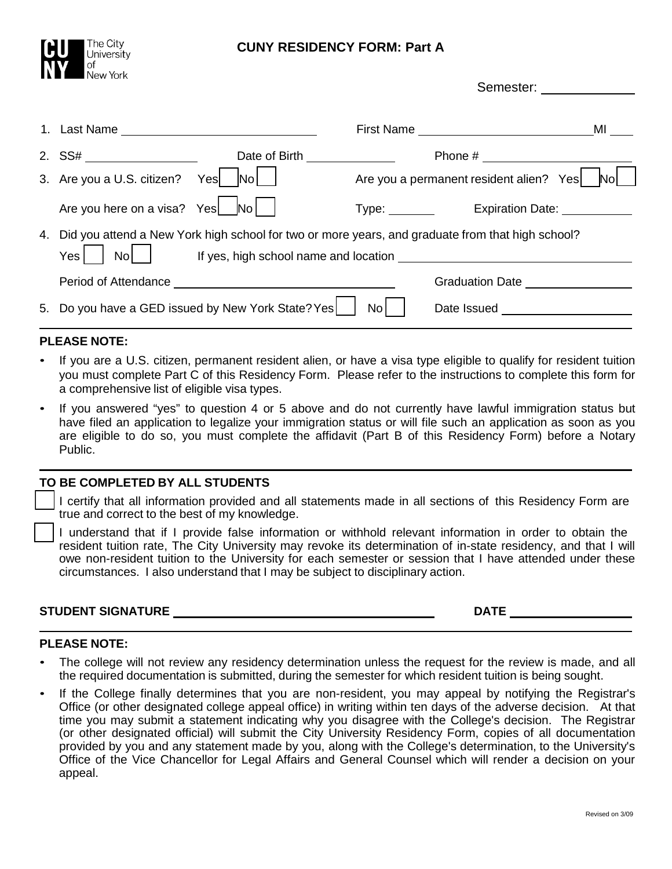

## **CUNY RESIDENCY FORM: Part A**

|    |                                |                                                                                                                                                                                      |      |                                         | MI  |
|----|--------------------------------|--------------------------------------------------------------------------------------------------------------------------------------------------------------------------------------|------|-----------------------------------------|-----|
|    |                                | Date of Birth <b>Exercise 2008</b>                                                                                                                                                   |      |                                         |     |
|    | 3. Are you a U.S. citizen?     | Yes<br>$\overline{\textsf{No}}$                                                                                                                                                      |      | Are you a permanent resident alien? Yes | Nol |
|    | Are you here on a visa? Yes Mo |                                                                                                                                                                                      |      | Type: Expiration Date:                  |     |
| 4. | Yes <sub>l</sub>               | Did you attend a New York high school for two or more years, and graduate from that high school?<br>No     If yes, high school name and location ___________________________________ |      |                                         |     |
|    |                                |                                                                                                                                                                                      |      | <b>Graduation Date</b>                  |     |
|    |                                | 5. Do you have a GED issued by New York State? Yes                                                                                                                                   | No l | Date Issued <b>Date</b> Issued          |     |

### **PLEASE NOTE:**

- If you are a U.S. citizen, permanent resident alien, or have a visa type eligible to qualify for resident tuition you must complete Part C of this Residency Form. Please refer to the instructions to complete this form for a comprehensive list of eligible visa types.
- If you answered "yes" to question 4 or 5 above and do not currently have lawful immigration status but have filed an application to legalize your immigration status or will file such an application as soon as you are eligible to do so, you must complete the affidavit (Part B of this Residency Form) before a Notary Public.

### **TO BE COMPLETED BY ALL STUDENTS**

 I certify that all information provided and all statements made in all sections of this Residency Form are true and correct to the best of my knowledge.

 I understand that if I provide false information or withhold relevant information in order to obtain the resident tuition rate, The City University may revoke its determination of in-state residency, and that I will owe non-resident tuition to the University for each semester or session that I have attended under these circumstances. I also understand that I may be subject to disciplinary action.

# **STUDENT SIGNATURE DATE**

Semester:

#### **PLEASE NOTE:**

- The college will not review any residency determination unless the request for the review is made, and all the required documentation is submitted, during the semester for which resident tuition is being sought.
- If the College finally determines that you are non-resident, you may appeal by notifying the Registrar's Office (or other designated college appeal office) in writing within ten days of the adverse decision. At that time you may submit a statement indicating why you disagree with the College's decision. The Registrar (or other designated official) will submit the City University Residency Form, copies of all documentation provided by you and any statement made by you, along with the College's determination, to the University's Office of the Vice Chancellor for Legal Affairs and General Counsel which will render a decision on your appeal.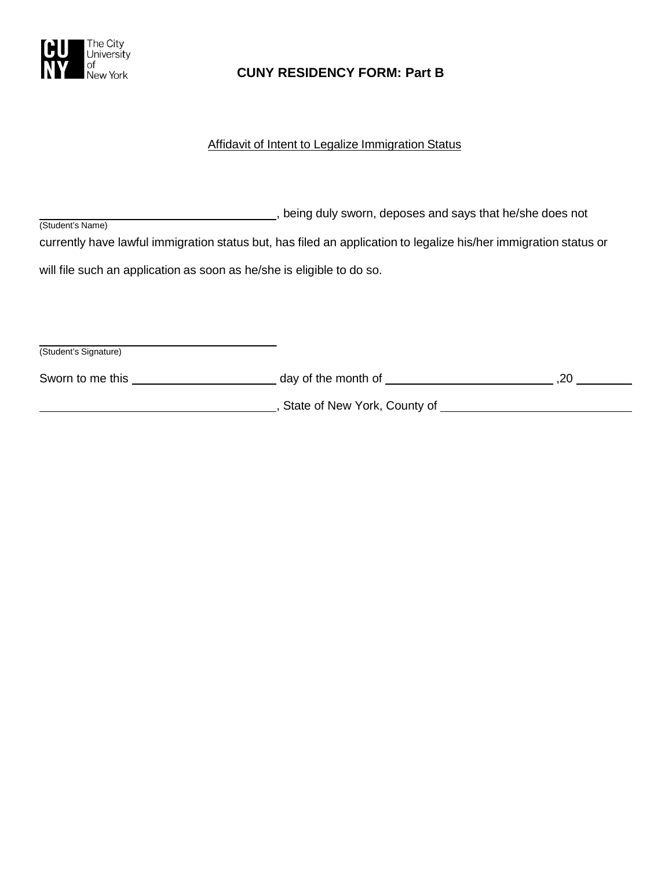

# **CUNY RESIDENCY FORM: Part B**

## Affidavit of Intent to Legalize Immigration Status

| being duly sworn, deposes and says that he/she does not<br>(Student's Name)                                      |  |  |  |  |
|------------------------------------------------------------------------------------------------------------------|--|--|--|--|
| currently have lawful immigration status but, has filed an application to legalize his/her immigration status or |  |  |  |  |
| will file such an application as soon as he/she is eligible to do so.                                            |  |  |  |  |
|                                                                                                                  |  |  |  |  |
|                                                                                                                  |  |  |  |  |
| (Student's Signature)                                                                                            |  |  |  |  |

| Sworn to me this | day of the month of          |  |
|------------------|------------------------------|--|
|                  | State of New York, County of |  |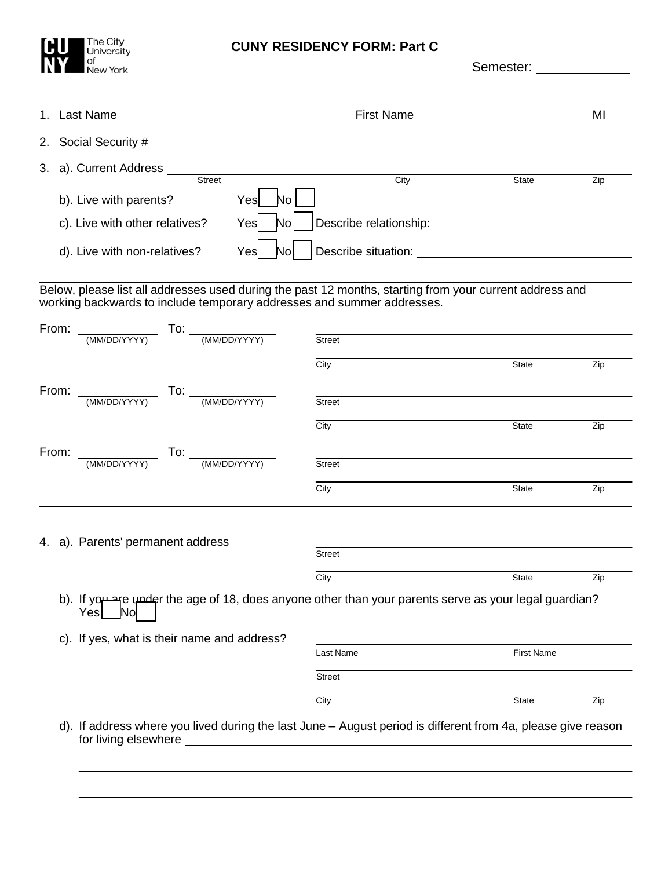

## **CUNY RESIDENCY FORM: Part C**

Semester: \_\_\_\_\_ 1. Last Name First Name MI 2. Social Security # 3. a). Current Address Street City State Zip b). Live with parents? Yes | No c). Live with other relatives? Yes No Describe relationship: d). Live with non-relatives?  $Yes$  **No**  Describe situation: Below, please list all addresses used during the past 12 months, starting from your current address and working backwards to include temporary addresses and summer addresses. From: \_\_\_\_\_\_\_\_\_\_\_\_\_\_\_\_\_ To: (MM/DD/YYYY) (MM/DD/YYYY) Street City **State** Zip From: \_\_\_\_\_\_\_\_\_\_\_\_\_\_\_\_ To: (MM/DD/YYYY) (MM/DD/YYYY) Street City **State** Zip From: \_\_\_\_\_\_\_\_\_\_\_\_\_\_\_\_ To: (MM/DD/YYYY) (MM/DD/YYYY) Street City **State** Zip 4. a). Parents' permanent address **Street** City **State** Zip b). If you are under the age of 18, does anyone other than your parents serve as your legal guardian?<br>Yes Yes

c). If yes, what is their name and address?

| Last Name     | <b>First Name</b> |     |
|---------------|-------------------|-----|
| <b>Street</b> |                   |     |
| City          | <b>State</b>      | Zip |

d). If address where you lived during the last June – August period is different from 4a, please give reason for living elsewhere